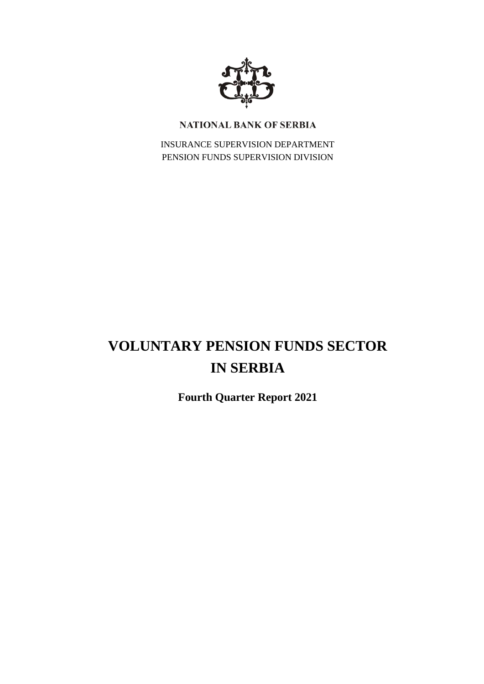

# NATIONAL BANK OF SERBIA

INSURANCE SUPERVISION DEPARTMENT PENSION FUNDS SUPERVISION DIVISION

# **VOLUNTARY PENSION FUNDS SECTOR IN SERBIA**

**Fourth Quarter Report 2021**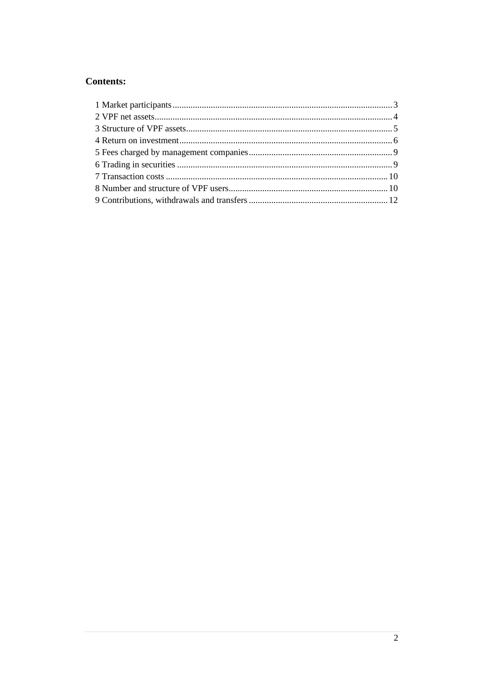# **Contents:**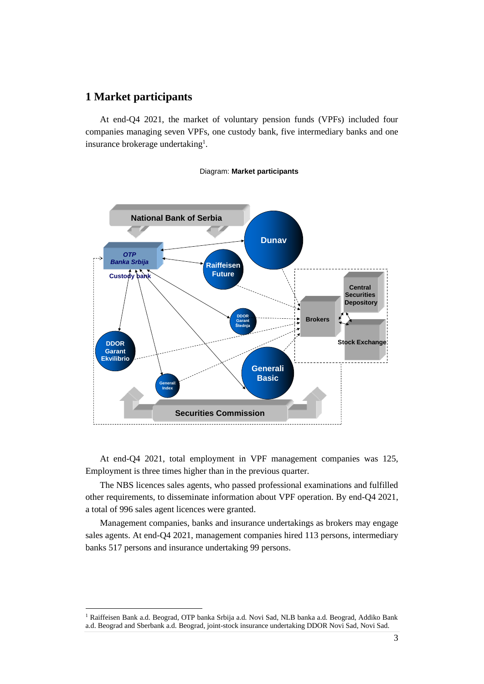## <span id="page-2-0"></span>**1 Market participants**

At end-Q4 2021, the market of voluntary pension funds (VPFs) included four companies managing seven VPFs, one custody bank, five intermediary banks and one insurance brokerage undertaking<sup>1</sup>.



#### Diagram: **Market participants**

At end-Q4 2021, total employment in VPF management companies was 125, Employment is three times higher than in the previous quarter.

The NBS licences sales agents, who passed professional examinations and fulfilled other requirements, to disseminate information about VPF operation. By end-Q4 2021, a total of 996 sales agent licences were granted.

Management companies, banks and insurance undertakings as brokers may engage sales agents. At end-Q4 2021, management companies hired 113 persons, intermediary banks 517 persons and insurance undertaking 99 persons.

<sup>1</sup> Raiffeisen Bank a.d. Beograd, OTP banka Srbija a.d. Novi Sad, NLB banka a.d. Beograd, Addiko Bank a.d. Beograd and Sberbank a.d. Beograd, joint-stock insurance undertaking DDOR Novi Sad, Novi Sad.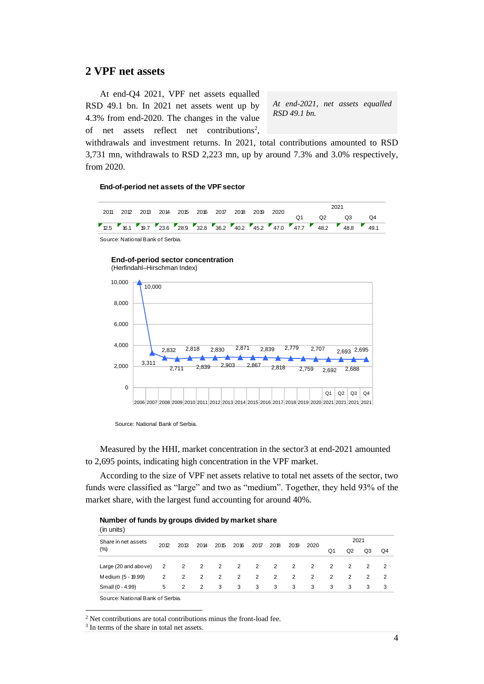## <span id="page-3-0"></span>**2 VPF net assets**

At end-Q4 2021, VPF net assets equalled RSD 49.1 bn. In 2021 net assets went up by 4.3% from end-2020. The changes in the value of net assets reflect net contributions<sup>2</sup>,

*At end-2021, net assets equalled RSD 49.1 bn.* 

withdrawals and investment returns. In 2021, total contributions amounted to RSD 3,731 mn, withdrawals to RSD 2,223 mn, up by around 7.3% and 3.0% respectively, from 2020.

#### **End-of-period net assets of the VPF sector**

|  |  |  | 2011 2012 2013 2014 2015 2016 2017 2018 2019 2020 |  |  |  | 2021 |  |            |                                                                                                        |      |
|--|--|--|---------------------------------------------------|--|--|--|------|--|------------|--------------------------------------------------------------------------------------------------------|------|
|  |  |  |                                                   |  |  |  |      |  | <u>ດ</u> 2 | $\Omega$ 3                                                                                             | . Q4 |
|  |  |  |                                                   |  |  |  |      |  |            | <b>7</b> 2.5 <b>6.1 6.7 7.23.6 7.28.9 7.28.8 7.36.2 7.40.2 7.45.2 7.47.7 7.47.7 7.48.2 7.48.8 49.1</b> |      |

Source: National Bank of Serbia.

## **End-of-period sector concentration**



Source: National Bank of Serbia.

Measured by the HHI, market concentration in the sector3 at end-2021 amounted to 2,695 points, indicating high concentration in the VPF market.

According to the size of VPF net assets relative to total net assets of the sector, two funds were classified as "large" and two as "medium". Together, they held 93% of the market share, with the largest fund accounting for around 40%.

| (in units)                       |      |      |                         |                |                         |                          |                          |      |      |      |    |               |                |  |
|----------------------------------|------|------|-------------------------|----------------|-------------------------|--------------------------|--------------------------|------|------|------|----|---------------|----------------|--|
| Share in net assets              | 2012 | 2013 | 2014                    | 2015           | 2016                    | 2017                     | 2018                     | 2019 | 2020 | 2021 |    |               |                |  |
| (%)                              |      |      |                         |                |                         |                          |                          |      |      | Q1   | Q2 | Q3            | Q4             |  |
| Large (20 and above)             | 2    | 2    | $\overline{\mathbf{2}}$ | $\overline{2}$ | $\overline{\mathbf{2}}$ | $\overline{\phantom{a}}$ | $\overline{\phantom{a}}$ | 2    | 2    | 2    | 2  | $\mathcal{P}$ | $\mathcal{P}$  |  |
| Medium (5 - 19.99)               | 2    | 2    | $\overline{2}$          | 2              | $\overline{2}$          | 2                        | 2                        | 2    | 2    | 2    | 2  | $\mathcal{P}$ | $\overline{2}$ |  |
| Small (0 - 4.99)                 | 5    | 2    | $\overline{2}$          | 3              | 3                       | 3                        | 3                        | 3    | 3    | 3    | 3  | 3             | 3              |  |
| Source: National Bank of Serbia. |      |      |                         |                |                         |                          |                          |      |      |      |    |               |                |  |

**Number of funds by groups divided by market share**

 $2$  Net contributions are total contributions minus the front-load fee.

3 In terms of the share in total net assets.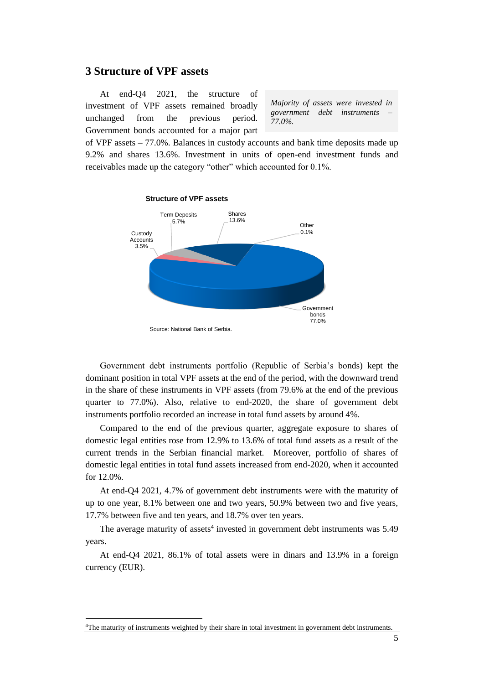## <span id="page-4-0"></span>**3 Structure of VPF assets**

At end-Q4 2021, the structure of investment of VPF assets remained broadly unchanged from the previous period. Government bonds accounted for a major part

*Majority of assets were invested in government debt instruments – 77.0%.* 

of VPF assets – 77.0%. Balances in custody accounts and bank time deposits made up 9.2% and shares 13.6%. Investment in units of open-end investment funds and receivables made up the category "other" which accounted for 0.1%.



Government debt instruments portfolio (Republic of Serbia's bonds) kept the dominant position in total VPF assets at the end of the period, with the downward trend in the share of these instruments in VPF assets (from 79.6% at the end of the previous quarter to 77.0%). Also, relative to end-2020, the share of government debt instruments portfolio recorded an increase in total fund assets by around 4%.

Compared to the end of the previous quarter, aggregate exposure to shares of domestic legal entities rose from 12.9% to 13.6% of total fund assets as a result of the current trends in the Serbian financial market. Moreover, portfolio of shares of domestic legal entities in total fund assets increased from end-2020, when it accounted for 12.0%.

At end-Q4 2021, 4.7% of government debt instruments were with the maturity of up to one year, 8.1% between one and two years, 50.9% between two and five years, 17.7% between five and ten years, and 18.7% over ten years.

The average maturity of assets<sup>4</sup> invested in government debt instruments was 5.49 years.

At end-Q4 2021, 86.1% of total assets were in dinars and 13.9% in a foreign currency (EUR).

<sup>4</sup>The maturity of instruments weighted by their share in total investment in government debt instruments.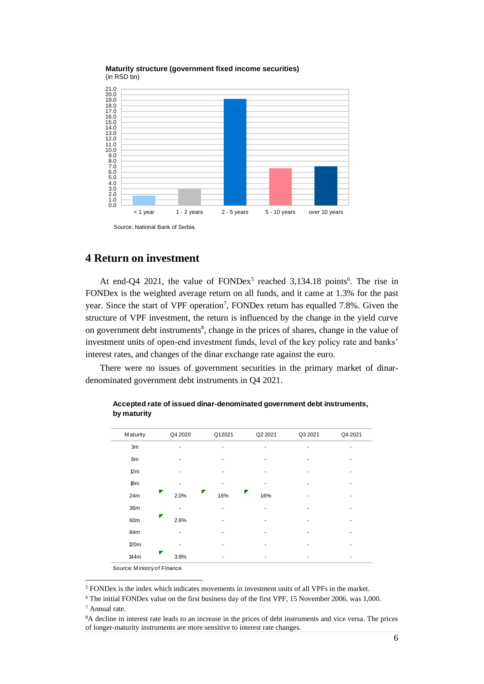

**Maturity structure (government fixed income securities)** (in RSD bn)

## <span id="page-5-0"></span>**4 Return on investment**

At end-Q4 2021, the value of  $FONDex<sup>5</sup>$  reached 3,134.18 points<sup>6</sup>. The rise in FONDex is the weighted average return on all funds, and it came at 1.3% for the past year. Since the start of VPF operation<sup>7</sup>, FONDex return has equalled 7.8%. Given the structure of VPF investment, the return is influenced by the change in the yield curve on government debt instruments<sup>8</sup>, change in the prices of shares, change in the value of investment units of open-end investment funds, level of the key policy rate and banks' interest rates, and changes of the dinar exchange rate against the euro.

There were no issues of government securities in the primary market of dinardenominated government debt instruments in Q4 2021.

| <b>Maturity</b>            | Q4 2020 | Q12021 | Q2 2021 | Q3 2021 | Q4 2021 |
|----------------------------|---------|--------|---------|---------|---------|
| 3m                         |         |        |         |         |         |
| 6m                         |         |        |         |         |         |
| 12m                        |         |        |         |         |         |
| 18m                        |         |        |         |         |         |
| 24m                        | 2.0%    | 1.6%   | 1.6%    |         |         |
| 36m                        |         |        |         |         |         |
| 60 <sub>m</sub>            | 2.6%    |        |         |         |         |
| 84m                        |         |        |         |         |         |
| <b>120m</b>                |         |        |         |         |         |
| 144m                       | 3.9%    |        | ٠       |         |         |
| Courant Ministruct Eingnan |         |        |         |         |         |

**Accepted rate of issued dinar-denominated government debt instruments, by maturity**

Source: M inistry of Finance.

<sup>5</sup> FONDex is the index which indicates movements in investment units of all VPFs in the market.

<sup>6</sup> The initial FONDex value on the first business day of the first VPF, 15 November 2006, was 1,000.

<sup>7</sup> Annual rate.

<sup>8</sup>A decline in interest rate leads to an increase in the prices of debt instruments and vice versa. The prices of longer-maturity instruments are more sensitive to interest rate changes.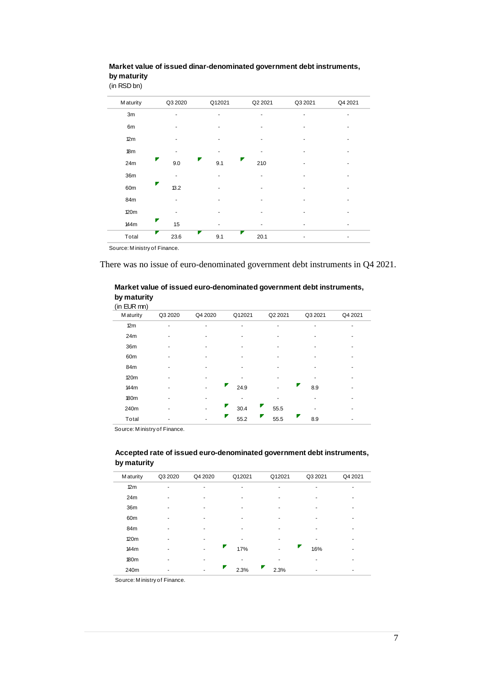| $\frac{1}{2}$   |           |          |           |         |         |
|-----------------|-----------|----------|-----------|---------|---------|
| <b>Maturity</b> | Q3 2020   | Q12021   | Q2 2021   | Q3 2021 | Q4 2021 |
| 3m              |           |          |           | ٠       |         |
| 6m              |           |          |           |         |         |
| 12m             |           |          |           |         |         |
| 18m             |           |          |           |         |         |
| 24m             | 9.0       | 9.1      | Γ<br>21.0 |         |         |
| 36m             |           |          |           |         |         |
| 60m             | Ζ<br>13.2 |          |           |         |         |
| 84m             |           |          |           |         |         |
| 120m            |           |          |           |         |         |
| 144m            | Ζ<br>1.5  |          |           |         |         |
| Total           | z<br>23.6 | Γ<br>9.1 | F<br>20.1 | -       | ۰       |

#### **Market value of issued dinar-denominated government debt instruments, by maturity**  (in RSD bn)

Source: M inistry of Finance.

There was no issue of euro-denominated government debt instruments in Q4 2021.

### **Market value of issued euro-denominated government debt instruments, by maturity**

| (in EUR mn)     |         |         |        |         |         |         |
|-----------------|---------|---------|--------|---------|---------|---------|
| <b>Maturity</b> | Q3 2020 | Q4 2020 | Q12021 | Q2 2021 | Q3 2021 | Q4 2021 |
| 12m             |         |         |        |         |         |         |
| 24m             |         |         |        |         |         |         |
| 36m             |         |         |        |         |         |         |
| 60m             |         |         |        |         |         |         |
| 84m             |         |         |        |         |         |         |
| 120m            |         |         |        |         |         |         |
| 144m            |         |         | 24.9   |         | 8.9     |         |
| <b>180m</b>     |         |         |        |         |         |         |
| 240m            |         |         | 30.4   | 55.5    |         |         |
| Total           |         |         | 55.2   | 55.5    | 8.9     |         |

Source: M inistry of Finance.

### **Accepted rate of issued euro-denominated government debt instruments, by maturity**

| <b>Maturity</b>  | Q3 2020 | Q4 2020 | Q12021    | Q12021 | Q3 2021 | Q4 2021 |
|------------------|---------|---------|-----------|--------|---------|---------|
| 12m              |         | ۰       | ۰         |        | ۰       | ۰       |
| 24m              |         | ۰       | ۰         | ۰      | ۰       | ۰       |
| 36m              |         |         |           |        |         |         |
| 60 <sub>m</sub>  |         | ۰       | ۰         |        |         |         |
| 84m              |         |         |           |        |         |         |
| 120m             |         |         |           |        |         |         |
| 144m             |         | ٠       | 1.7%      |        | 1.6%    | ۰       |
| 180 <sub>m</sub> |         |         |           |        |         |         |
| 240m             |         |         | v<br>2.3% | 2.3%   |         |         |

Source: M inistry of Finance.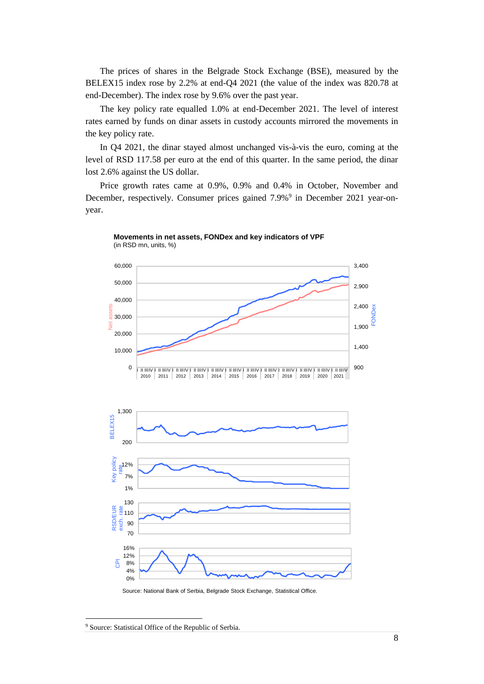The prices of shares in the Belgrade Stock Exchange (BSE), measured by the BELEX15 index rose by 2.2% at end-Q4 2021 (the value of the index was 820.78 at end-December). The index rose by 9.6% over the past year.

The key policy rate equalled 1.0% at end-December 2021. The level of interest rates earned by funds on dinar assets in custody accounts mirrored the movements in the key policy rate.

In Q4 2021, the dinar stayed almost unchanged vis-à-vis the euro, coming at the level of RSD 117.58 per euro at the end of this quarter. In the same period, the dinar lost 2.6% against the US dollar.

Price growth rates came at 0.9%, 0.9% and 0.4% in October, November and December, respectively. Consumer prices gained 7.9%<sup>9</sup> in December 2021 year-onyear.





Source: National Bank of Serbia, Belgrade Stock Exchange, Statistical Office.

<sup>&</sup>lt;sup>9</sup> Source: Statistical Office of the Republic of Serbia.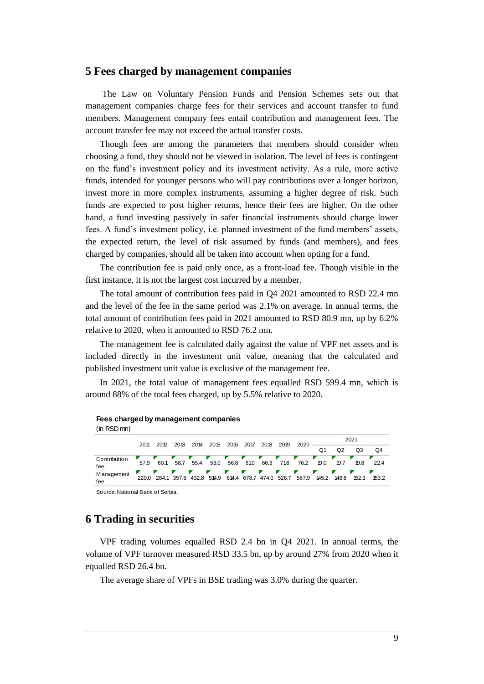## <span id="page-8-0"></span>**5 Fees charged by management companies**

The Law on Voluntary Pension Funds and Pension Schemes sets out that management companies charge fees for their services and account transfer to fund members. Management company fees entail contribution and management fees. The account transfer fee may not exceed the actual transfer costs.

Though fees are among the parameters that members should consider when choosing a fund, they should not be viewed in isolation. The level of fees is contingent on the fund's investment policy and its investment activity. As a rule, more active funds, intended for younger persons who will pay contributions over a longer horizon, invest more in more complex instruments, assuming a higher degree of risk. Such funds are expected to post higher returns, hence their fees are higher. On the other hand, a fund investing passively in safer financial instruments should charge lower fees. A fund's investment policy, i.e. planned investment of the fund members' assets, the expected return, the level of risk assumed by funds (and members), and fees charged by companies, should all be taken into account when opting for a fund.

The contribution fee is paid only once, as a front-load fee. Though visible in the first instance, it is not the largest cost incurred by a member.

The total amount of contribution fees paid in Q4 2021 amounted to RSD 22.4 mn and the level of the fee in the same period was 2.1% on average. In annual terms, the total amount of contribution fees paid in 2021 amounted to RSD 80.9 mn, up by 6.2% relative to 2020, when it amounted to RSD 76.2 mn.

The management fee is calculated daily against the value of VPF net assets and is included directly in the investment unit value, meaning that the calculated and published investment unit value is exclusive of the management fee.

In 2021, the total value of management fees equalled RSD 599.4 mn, which is around 88% of the total fees charged, up by 5.5% relative to 2020.

| $(in RSD$ mn $)$    |                                 |      |                                                      |      |      |          |      |           |      |              |            |                |            |       |  |
|---------------------|---------------------------------|------|------------------------------------------------------|------|------|----------|------|-----------|------|--------------|------------|----------------|------------|-------|--|
|                     | 2011                            | 2012 | 2013                                                 | 2014 | 2015 | 2016     | 2017 | 2018      | 2019 | 2020         | 2021       |                |            |       |  |
|                     |                                 |      |                                                      |      |      |          |      |           |      |              | Q1         | Q <sub>2</sub> | Q3         | Q4    |  |
| Contribution<br>fee | 57.9                            | 60.1 | 58.7                                                 | 55.4 | 53.0 | 56.8     | 61.0 | v<br>66.3 | 71.8 | 76.2         | 19.0       | 19.7           | 19.8       | 22.4  |  |
| M anagement<br>fee  | 220.0                           |      | F<br>284.1 357.8 432.8 514.9 614.4 678.7 474.0 526.7 |      |      | <b>A</b> | v.   | v         | v    | I.F<br>567.9 | ┏<br>145.2 | 148.8          | F<br>152.3 | 153.2 |  |
|                     | Source: National Rank of Serbia |      |                                                      |      |      |          |      |           |      |              |            |                |            |       |  |

<span id="page-8-1"></span>Source: National Bank of Serbia.

**Fees charged by management companies**

## **6 Trading in securities**

VPF trading volumes equalled RSD 2.4 bn in Q4 2021. In annual terms, the volume of VPF turnover measured RSD 33.5 bn, up by around 27% from 2020 when it equalled RSD 26.4 bn.

The average share of VPFs in BSE trading was 3.0% during the quarter.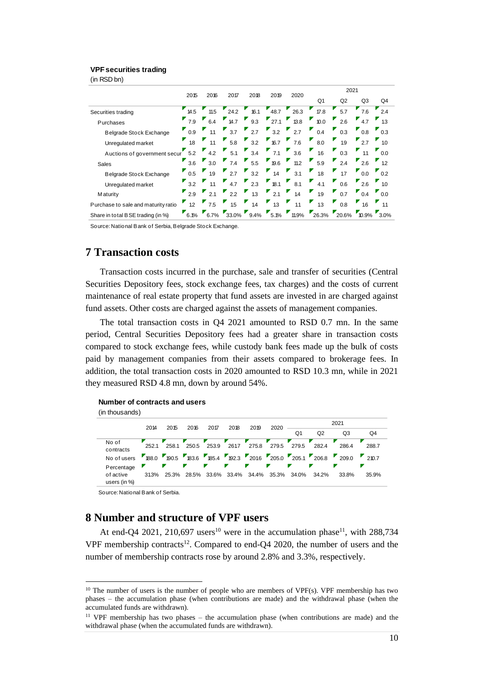## **VPF securities trading**

(in RSD bn)

|                                     | 2015             | 2016               | 2017             | 2018      | 2019              | 2020       |       | 2021               |                  |                                     |  |  |
|-------------------------------------|------------------|--------------------|------------------|-----------|-------------------|------------|-------|--------------------|------------------|-------------------------------------|--|--|
|                                     |                  |                    |                  |           |                   |            | Q1    | Q2                 | Q3               | Q4                                  |  |  |
| Securities trading                  | 14.5             | 11.5               | 24.2             | 16.1      | 48.7              | 26.3       | 17.8  | 5.7                | 7.6              | 2.4                                 |  |  |
| Purchases                           | 7.9              | 6.4                | 14.7             | 9.3       | $^{27.1}$         | ۳.<br>13.8 | 10.0  | 2.6                | 4.7              | 1.3                                 |  |  |
| Belgrade Stock Exchange             | $\overline{0.9}$ | 1.1                | 3.7              | 2.7       | 3.2               | 2.7        | 0.4   | 0.3                | 0.8              | 0.3                                 |  |  |
| Unregulated market                  | 1.8              | $\blacksquare$ 1.1 | 5.8              | 3.2       | $16.7$ 7.6        |            | 8.0   | л<br>1.9           | 2.7              | 1.0                                 |  |  |
| Auctions of government secur        | 5.2              |                    | $4.2$ 5.1        | 3.4       | $7.1 \qquad 3.6$  |            | 16    | ۳,<br>0.3          | $\frac{11}{11}$  | $\begin{bmatrix} 0.0 \end{bmatrix}$ |  |  |
| Sales                               | 3.6              | 3.0                | 7.4              | 5.5       | $\overline{19.6}$ | Ψ,<br>11.2 | 5.9   | 2.4                | 2.6              | $\frac{1}{2}$ 12                    |  |  |
| <b>Belgrade Stock Exchange</b>      | $^{\bullet}$ 0.5 | 19                 | $2.7$ $3.2$      |           | 1.4               | 3.1        | 1.8   | 17                 | $\overline{0.0}$ | $^{\bullet}$ 0.2                    |  |  |
| Unregulated market                  | 3.2              | $\frac{11}{11}$    | 4.7              | 2.3       | Ψ.<br>18.1        | Ψ,<br>8.1  | 4.1   | 0.6                | 2.6              | 1.0                                 |  |  |
| M aturity                           | 2.9              | 2.1                | $^{\bullet}$ 2.2 | Ψ,<br>1.3 | 2.1               | 1.4        | 1.9   | $\blacksquare$ 0.7 | 0.4              | 0.0                                 |  |  |
| Purchase to sale and maturity ratio | 1.2              | 7.5                | 1.5              | 1.4       | 1.3               | У<br>1.1   | 1.3   | 0.8                | 16               | 1.1                                 |  |  |
| Share in total BSE trading (in %)   | 6.1%             |                    | 6.7% 33.0% 9.4%  |           | 5.1%              | $11.9\%$   | 26.3% | 20.6%              | $10.9\%$ 3.0%    |                                     |  |  |

<span id="page-9-0"></span>Source: National Bank of Serbia, Belgrade Stock Exchange.

## **7 Transaction costs**

Transaction costs incurred in the purchase, sale and transfer of securities (Central Securities Depository fees, stock exchange fees, tax charges) and the costs of current maintenance of real estate property that fund assets are invested in are charged against fund assets. Other costs are charged against the assets of management companies.

The total transaction costs in Q4 2021 amounted to RSD 0.7 mn. In the same period, Central Securities Depository fees had a greater share in transaction costs compared to stock exchange fees, while custody bank fees made up the bulk of costs paid by management companies from their assets compared to brokerage fees. In addition, the total transaction costs in 2020 amounted to RSD 10.3 mn, while in 2021 they measured RSD 4.8 mn, down by around 54%.

#### **Number of contracts and users**

(in thousands)

|                                         | 2014      | 2015  | 2016       | 2017        | 2018        | 2019<br>2020 | 2021       |            |       |                                                                                |       |
|-----------------------------------------|-----------|-------|------------|-------------|-------------|--------------|------------|------------|-------|--------------------------------------------------------------------------------|-------|
|                                         |           |       |            |             |             |              |            | Q1         | Q2    | Q3                                                                             | Q4    |
| No of<br>contracts                      | 252.1     | 258.1 | 250.5      | 253.9       | 261.7       | z<br>275.8   | 279.5      | v<br>279.5 | 282.4 | 286.4                                                                          | 288.7 |
| No of users                             |           |       |            |             |             |              |            |            |       | <b>7</b> 88.0 790.5 783.6 785.4 792.3 72016 7205.0 7205.1 7206.8 7209.0 7210.7 |       |
| Percentage<br>of active<br>users (in %) | И<br>313% | 25.3% | И<br>28.5% | И.<br>33.6% | 33.4% 34.4% | Г            | И<br>35.3% | Г<br>34.0% | 34.2% | 33.8%                                                                          | 35.9% |
|                                         |           |       |            |             |             |              |            |            |       |                                                                                |       |

Source: National Bank of Serbia.

# <span id="page-9-1"></span>**8 Number and structure of VPF users**

At end-Q4 2021, 210,697 users<sup>10</sup> were in the accumulation phase<sup>11</sup>, with 288,734 VPF membership contracts<sup>12</sup>. Compared to end-Q4 2020, the number of users and the number of membership contracts rose by around 2.8% and 3.3%, respectively.

 $10$  The number of users is the number of people who are members of VPF(s). VPF membership has two phases – the accumulation phase (when contributions are made) and the withdrawal phase (when the accumulated funds are withdrawn).

<sup>&</sup>lt;sup>11</sup> VPF membership has two phases – the accumulation phase (when contributions are made) and the withdrawal phase (when the accumulated funds are withdrawn).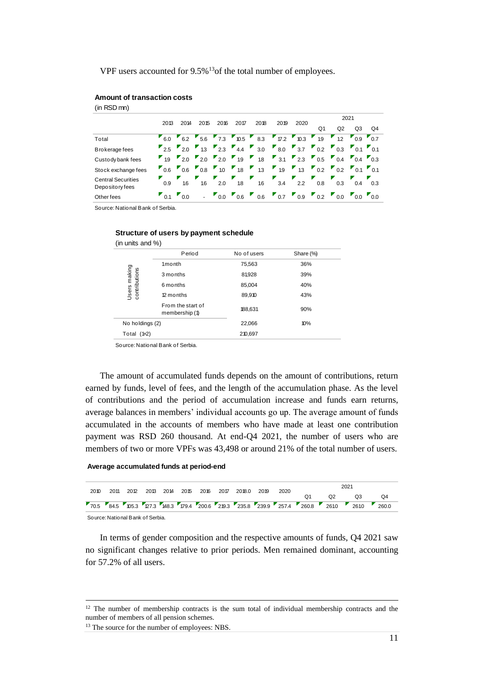VPF users accounted for 9.5%<sup>13</sup>of the total number of employees.

| Amount of transaction costs |  |  |
|-----------------------------|--|--|
|-----------------------------|--|--|

(in RSD mn)

|                                              | 2013                                  | 2014                                       | 2015                        | 2016 | 2017              | 2018       | 2019                                                                                                                                            | 2020 |                  | 2021               |                                       |     |  |
|----------------------------------------------|---------------------------------------|--------------------------------------------|-----------------------------|------|-------------------|------------|-------------------------------------------------------------------------------------------------------------------------------------------------|------|------------------|--------------------|---------------------------------------|-----|--|
|                                              |                                       |                                            |                             |      |                   |            |                                                                                                                                                 |      | Q1               | Q2                 | Q3                                    | Q4  |  |
| Total                                        |                                       |                                            |                             |      |                   |            | $T$ 7.2 $T$ 10.3 $T$ 1.9                                                                                                                        |      |                  | 12                 | $0.9\qquad0.7$                        |     |  |
| Brokerage fees                               |                                       | $2.5$ 2.0                                  |                             |      |                   |            | $13$ 2.3 4.4 3.0 8.0 3.7 0.2                                                                                                                    |      |                  | $\blacksquare$ 0.3 | $\blacksquare$ 0.1 $\blacksquare$ 0.1 |     |  |
| Custody bank fees                            |                                       |                                            |                             |      |                   |            | $19$ 2.0 2.0 2.0 1.9 1.8 3.1 2.3 0.5 0.4                                                                                                        |      |                  |                    | $\sqrt{04}$ $\sqrt{03}$               |     |  |
| Stock exchange fees                          |                                       | $\begin{array}{ccc} 0.6 & 0.6 \end{array}$ | 0.8                         | 10   | $\blacksquare$ 18 | И.,<br>1.3 | 19                                                                                                                                              | 1.3  | $\overline{0.2}$ | $\blacksquare$ 0.2 | 0101                                  |     |  |
| <b>Central Securities</b><br>Depository fees | 0.9                                   | 1.6                                        | 1.6                         | 2.0  | 1.8               | 1.6        | E<br>3.4                                                                                                                                        | 2.2  | 0.8              | 0.3                | 0.4                                   | 0.3 |  |
| Other fees                                   | $\blacksquare$ 0.1 $\blacksquare$ 0.0 |                                            | $\mathcal{L}_{\mathcal{A}}$ |      |                   |            | $\begin{bmatrix} 0.0 & 0.6 & 0.6 \end{bmatrix}$ $\begin{bmatrix} 0.7 & 0.9 & 0.2 \end{bmatrix}$ $\begin{bmatrix} 0.0 & 0.0 & 0.0 \end{bmatrix}$ |      |                  |                    |                                       |     |  |

Source: National Bank of Serbia.

#### **Structure of users by payment schedule**

| (in units and $\%$ )          |                                     |             |           |  |  |
|-------------------------------|-------------------------------------|-------------|-----------|--|--|
|                               | Period                              | No of users | Share (%) |  |  |
|                               | 1 <sub>month</sub>                  | 75,563      | 36%       |  |  |
|                               | 3 months                            | 81,928      | 39%       |  |  |
|                               | 6 months                            | 85,004      | 40%       |  |  |
| Users making<br>contributions | 12 months                           | 89,910      | 43%       |  |  |
|                               | From the start of<br>membership (1) | 188,631     | 90%       |  |  |
| No holdings (2)               |                                     | 22,066      | 10%       |  |  |
| Total $(1+2)$                 |                                     | 210.697     |           |  |  |
|                               |                                     |             |           |  |  |

Source: National Bank of Serbia.

The amount of accumulated funds depends on the amount of contributions, return earned by funds, level of fees, and the length of the accumulation phase. As the level of contributions and the period of accumulation increase and funds earn returns, average balances in members' individual accounts go up. The average amount of funds accumulated in the accounts of members who have made at least one contribution payment was RSD 260 thousand. At end-Q4 2021, the number of users who are members of two or more VPFs was 43,498 or around 21% of the total number of users.

#### **Average accumulated funds at period-end**

|      |  |  |  |  |                                                     | 70.5 84.5 05.3 07.3 48.3 179.4 200.6 219.3 235.8 239.9 257.4 260.8 2610 2610 260.0 |      |  |                |    |  |    |  |
|------|--|--|--|--|-----------------------------------------------------|------------------------------------------------------------------------------------|------|--|----------------|----|--|----|--|
|      |  |  |  |  | 2011 2012 2013 2014 2015 2016 2017 2018.0 2019 2020 |                                                                                    |      |  | Q <sub>2</sub> | O3 |  | O4 |  |
| 2010 |  |  |  |  |                                                     |                                                                                    | 2021 |  |                |    |  |    |  |

Source: National Bank of Serbia.

In terms of gender composition and the respective amounts of funds, Q4 2021 saw no significant changes relative to prior periods. Men remained dominant, accounting for 57.2% of all users.

<sup>&</sup>lt;sup>12</sup> The number of membership contracts is the sum total of individual membership contracts and the number of members of all pension schemes.

<sup>&</sup>lt;sup>13</sup> The source for the number of employees: NBS.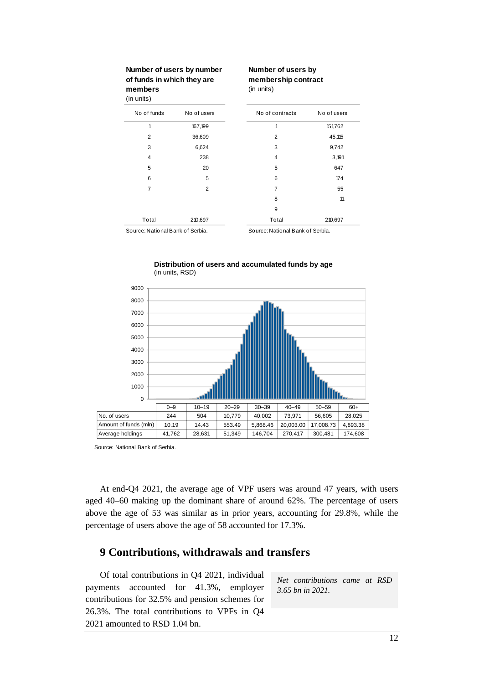| Number of users by number  |
|----------------------------|
| of funds in which they are |
| members                    |

#### **Number of users by membership contract**

(in units)

| (in units)                       |                |                                  |             |
|----------------------------------|----------------|----------------------------------|-------------|
| No of funds                      | No of users    | No of contracts                  | No of users |
| 1                                | 167,199        | 1                                | 151,762     |
| 2                                | 36,609         | $\overline{2}$                   | 45,115      |
| 3                                | 6,624          | 3                                | 9,742       |
| 4                                | 238            | 4                                | 3,191       |
| 5                                | 20             | 5                                | 647         |
| 6                                | 5              | 6                                | 174         |
| 7                                | $\overline{2}$ | 7                                | 55          |
|                                  |                | 8                                | 11          |
|                                  |                | 9                                |             |
| Total                            | 210,697        | Total                            | 210,697     |
| Source: National Bank of Serbia. |                | Source: National Bank of Serbia. |             |

**Distribution of users and accumulated funds by age** (in units, RSD)



Source: National Bank of Serbia.

At end-Q4 2021, the average age of VPF users was around 47 years, with users aged 40–60 making up the dominant share of around 62%. The percentage of users above the age of 53 was similar as in prior years, accounting for 29.8%, while the percentage of users above the age of 58 accounted for 17.3%.

# <span id="page-11-0"></span>**9 Contributions, withdrawals and transfers**

Of total contributions in Q4 2021, individual payments accounted for 41.3%, employer contributions for 32.5% and pension schemes for 26.3%. The total contributions to VPFs in Q4 2021 amounted to RSD 1.04 bn.

*Net contributions came at RSD 3.65 bn in 2021.*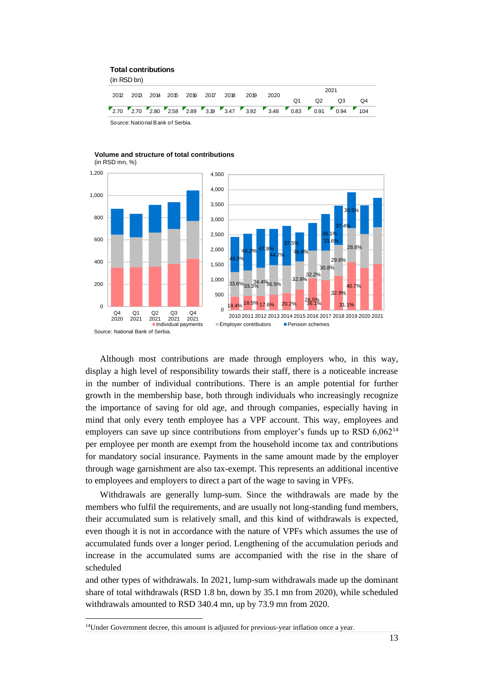#### **Total contributions**

(in RSD bn)

|                                  |  |  |  |  |  | 2012 2013 2014 2015 2016 2017 2018 2019 | 2020                                                             | 2021 |  |    |    |                |    |  |
|----------------------------------|--|--|--|--|--|-----------------------------------------|------------------------------------------------------------------|------|--|----|----|----------------|----|--|
|                                  |  |  |  |  |  |                                         |                                                                  |      |  | Ω1 | Q2 | O <sub>3</sub> | O4 |  |
|                                  |  |  |  |  |  |                                         | 2.70 2.70 2.80 2.58 2.89 3.19 3.47 3.92 3.48 0.83 0.91 0.94 1.04 |      |  |    |    |                |    |  |
| Source: National Bank of Serbia. |  |  |  |  |  |                                         |                                                                  |      |  |    |    |                |    |  |





Although most contributions are made through employers who, in this way, display a high level of responsibility towards their staff, there is a noticeable increase in the number of individual contributions. There is an ample potential for further growth in the membership base, both through individuals who increasingly recognize the importance of saving for old age, and through companies, especially having in mind that only every tenth employee has a VPF account. This way, employees and employers can save up since contributions from employer's funds up to RSD 6,062<sup>14</sup> per employee per month are exempt from the household income tax and contributions for mandatory social insurance. Payments in the same amount made by the employer through wage garnishment are also tax-exempt. This represents an additional incentive to employees and employers to direct a part of the wage to saving in VPFs.

Withdrawals are generally lump-sum. Since the withdrawals are made by the members who fulfil the requirements, and are usually not long-standing fund members, their accumulated sum is relatively small, and this kind of withdrawals is expected, even though it is not in accordance with the nature of VPFs which assumes the use of accumulated funds over a longer period. Lengthening of the accumulation periods and increase in the accumulated sums are accompanied with the rise in the share of scheduled

and other types of withdrawals. In 2021, lump-sum withdrawals made up the dominant share of total withdrawals (RSD 1.8 bn, down by 35.1 mn from 2020), while scheduled withdrawals amounted to RSD 340.4 mn, up by 73.9 mn from 2020.

<sup>&</sup>lt;sup>14</sup>Under Government decree, this amount is adjusted for previous-year inflation once a year.